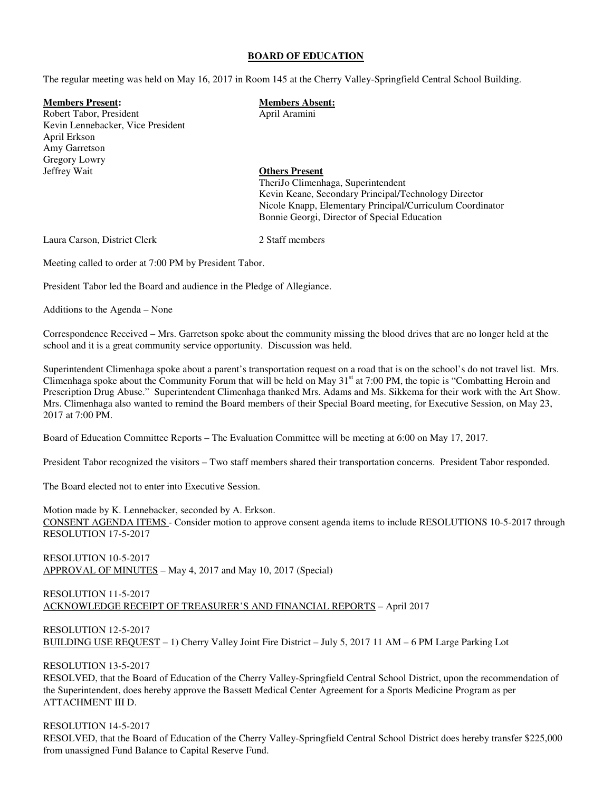#### **BOARD OF EDUCATION**

The regular meeting was held on May 16, 2017 in Room 145 at the Cherry Valley-Springfield Central School Building.

**Members Present: Members Absent:** 

Robert Tabor, President April Aramini Kevin Lennebacker, Vice President April Erkson Amy Garretson Gregory Lowry<br>Jeffrey Wait

# **Others Present** TheriJo Climenhaga, Superintendent

 Kevin Keane, Secondary Principal/Technology Director Nicole Knapp, Elementary Principal/Curriculum Coordinator Bonnie Georgi, Director of Special Education

Laura Carson, District Clerk 2 Staff members

Meeting called to order at 7:00 PM by President Tabor.

President Tabor led the Board and audience in the Pledge of Allegiance.

Additions to the Agenda – None

Correspondence Received – Mrs. Garretson spoke about the community missing the blood drives that are no longer held at the school and it is a great community service opportunity. Discussion was held.

Superintendent Climenhaga spoke about a parent's transportation request on a road that is on the school's do not travel list. Mrs. Climenhaga spoke about the Community Forum that will be held on May 31<sup>st</sup> at 7:00 PM, the topic is "Combatting Heroin and Prescription Drug Abuse." Superintendent Climenhaga thanked Mrs. Adams and Ms. Sikkema for their work with the Art Show. Mrs. Climenhaga also wanted to remind the Board members of their Special Board meeting, for Executive Session, on May 23, 2017 at 7:00 PM.

Board of Education Committee Reports – The Evaluation Committee will be meeting at 6:00 on May 17, 2017.

President Tabor recognized the visitors – Two staff members shared their transportation concerns. President Tabor responded.

The Board elected not to enter into Executive Session.

Motion made by K. Lennebacker, seconded by A. Erkson. CONSENT AGENDA ITEMS - Consider motion to approve consent agenda items to include RESOLUTIONS 10-5-2017 through RESOLUTION 17-5-2017

RESOLUTION 10-5-2017 APPROVAL OF MINUTES – May 4, 2017 and May 10, 2017 (Special)

#### RESOLUTION 11-5-2017 ACKNOWLEDGE RECEIPT OF TREASURER'S AND FINANCIAL REPORTS – April 2017

RESOLUTION 12-5-2017 BUILDING USE REQUEST – 1) Cherry Valley Joint Fire District – July 5, 2017 11 AM – 6 PM Large Parking Lot

# RESOLUTION 13-5-2017

RESOLVED, that the Board of Education of the Cherry Valley-Springfield Central School District, upon the recommendation of the Superintendent, does hereby approve the Bassett Medical Center Agreement for a Sports Medicine Program as per ATTACHMENT III D.

## RESOLUTION 14-5-2017

RESOLVED, that the Board of Education of the Cherry Valley-Springfield Central School District does hereby transfer \$225,000 from unassigned Fund Balance to Capital Reserve Fund.